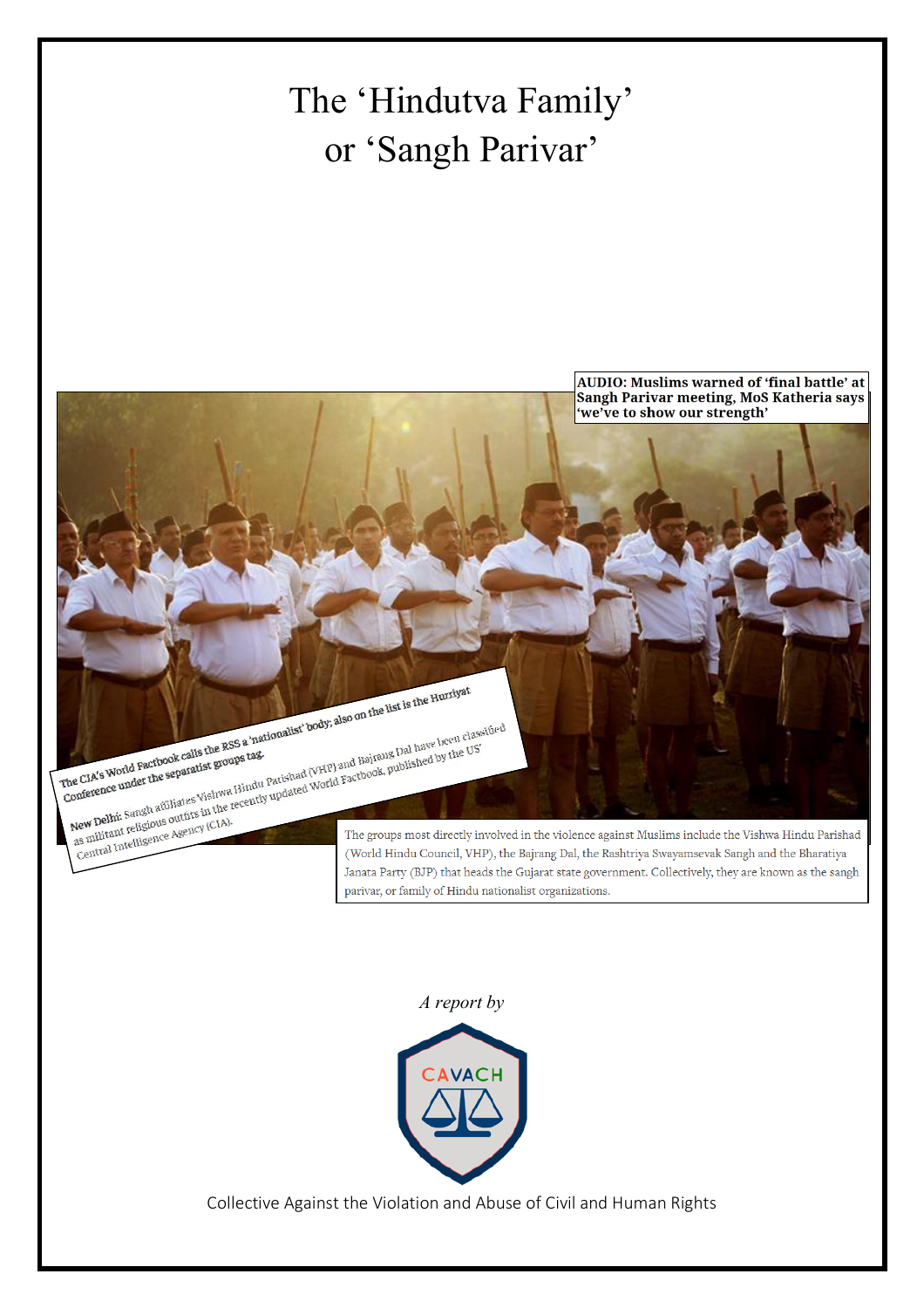# The 'Hindutva Family' or 'Sangh Parivar'



# *A report by*



Collective Against the Violation and Abuse of Civil and Human Rights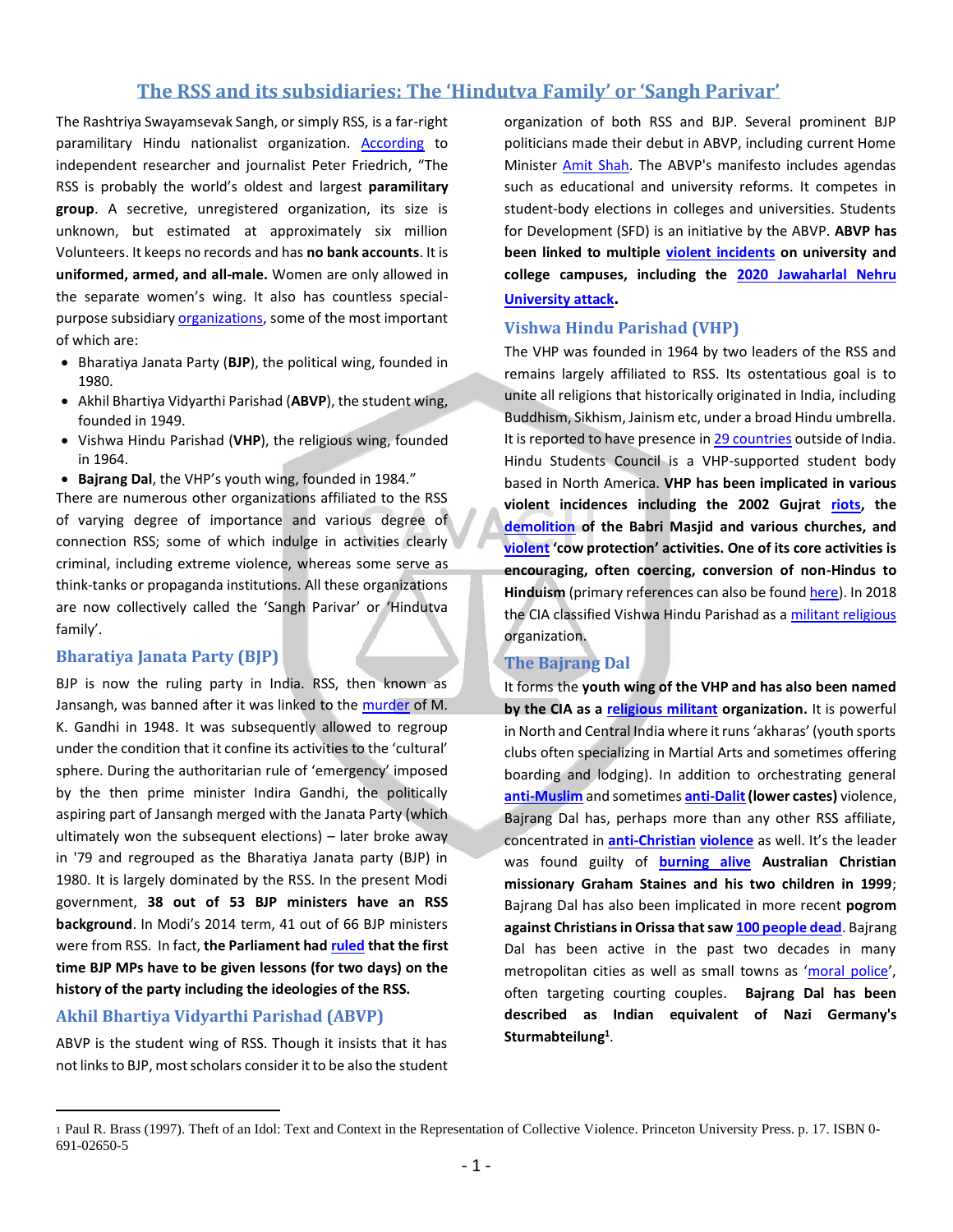# **The RSS and its subsidiaries: The 'Hindutva Family' or 'Sangh Parivar'**

The Rashtriya Swayamsevak Sangh, or simply RSS, is a far-right paramilitary Hindu nationalist organization. [According](https://thepolisproject.com/cultural-malware-the-rise-of-indias-rss/#.XyaG2S2w3GI) to independent researcher and journalist Peter Friedrich, "The RSS is probably the world's oldest and largest **paramilitary group**. A secretive, unregistered organization, its size is unknown, but estimated at approximately six million Volunteers. It keeps no records and has **no bank accounts**. It is **uniformed, armed, and all-male.** Women are only allowed in the separate women's wing. It also has countless specialpurpose subsidiar[y organizations,](https://en.wikipedia.org/wiki/Sangh_Parivar) some of the most important of which are:

- Bharatiya Janata Party (**BJP**), the political wing, founded in 1980.
- Akhil Bhartiya Vidyarthi Parishad (**ABVP**), the student wing, founded in 1949.
- Vishwa Hindu Parishad (**VHP**), the religious wing, founded in 1964.
- **Bajrang Dal**, the VHP's youth wing, founded in 1984."

There are numerous other organizations affiliated to the RSS of varying degree of importance and various degree of connection RSS; some of which indulge in activities clearly criminal, including extreme violence, whereas some serve as think-tanks or propaganda institutions. All these organizations are now collectively called the 'Sangh Parivar' or 'Hindutva family'.

#### **Bharatiya Janata Party (BJP)**

BJP is now the ruling party in India. RSS, then known as Jansangh, was banned after it was linked to the [murder](https://thewire.in/history/sardar-patel-rss-ban-1948) of M. K. Gandhi in 1948. It was subsequently allowed to regroup under the condition that it confine its activities to the 'cultural' sphere. During the authoritarian rule of 'emergency' imposed by the then prime minister Indira Gandhi, the politically aspiring part of Jansangh merged with the Janata Party (which ultimately won the subsequent elections) – later broke away in '79 and regrouped as the Bharatiya Janata party (BJP) in 1980. It is largely dominated by the RSS. In the present Modi government, **38 out of 53 BJP ministers have an RSS background**. In Modi's 2014 term, 41 out of 66 BJP ministers were from RSS. In fact, **the Parliament ha[d ruled](https://www.livemint.com/Politics/NLzWiBTPHrSZYwI9bfta7L/Firsttime-BJP-MPs-to-get-lessons-in-RSS-ideology-Parliamen.html) that the first time BJP MPs have to be given lessons (for two days) on the history of the party including the ideologies of the RSS.**

## **Akhil Bhartiya Vidyarthi Parishad (ABVP)**

ABVP is the student wing of RSS. Though it insists that it has not links to BJP, most scholars consider it to be also the student organization of both RSS and BJP. Several prominent BJP politicians made their debut in ABVP, including current Home Minister [Amit Shah.](https://www.indiatoday.in/fyi/story/abvp-alumni-arun-jaitley-rajnath-singh-amit-shah-nitin-gadkari-963612-2017-03-02) The ABVP's manifesto includes agendas such as educational and university reforms. It competes in student-body elections in colleges and universities. Students for Development (SFD) is an initiative by the ABVP. **ABVP has been linked to multiple [violent incidents](https://www.thehindu.com/news/cities/Delhi/live-updates-jnu-students-attacked-inside-campus-by-abvp-activists/article30486246.ece) on university and college campuses, including the [2020 Jawaharlal Nehru](https://en.wikipedia.org/wiki/2020_Jawaharlal_Nehru_University_attack)  [University attack](https://en.wikipedia.org/wiki/2020_Jawaharlal_Nehru_University_attack).**

#### **Vishwa Hindu Parishad (VHP)**

The VHP was founded in 1964 by two leaders of the RSS and remains largely affiliated to RSS. Its ostentatious goal is to unite all religions that historically originated in India, including Buddhism, Sikhism, Jainism etc, under a broad Hindu umbrella. It is reported to have presence i[n 29 countries](https://en.wikipedia.org/wiki/Vishva_Hindu_Parishad) outside of India. Hindu Students Council is a VHP-supported student body based in North America. **VHP has been implicated in various violent incidences including the 2002 Gujrat [riots,](https://www.hrw.org/news/2002/04/30/india-gujarat-officials-took-part-anti-muslim-violence) the [demolition](https://www.aljazeera.com/indepth/features/witness-destruction-remembering-babri-mosque-demolition-191206132402226.html) of the Babri Masjid and various churches, and [violent](https://www.hindustantimes.com/india-news/cow-vigilantes-were-from-vhp-bajrang-dal-man-beaten-in-alwar-told-police-before-dying/story-eptaX4e7SJqlDiSL6E6WbO.html) 'cow protection' activities. One of its core activities is encouraging, often coercing, conversion of non-Hindus to Hinduism** (primary references can also be foun[d here\)](https://en.wikipedia.org/wiki/Vishva_Hindu_Parishad). In 2018 the [CIA](https://en.wikipedia.org/wiki/Central_Intelligence_Agency) classified Vishwa Hindu Parishad as [a militant religious](https://www.cia.gov/library/publications/resources/the-world-factbook/fields/print_2115.html) organization.

## **The Bajrang Dal**

It forms the **youth wing of the VHP and has also been named by the CIA as a [religious militant](https://indianexpress.com/article/india/cia-names-vhp-bajrang-dal-as-religious-militant-organisations-in-world-factbook-5218249/) organization.** It is powerful in North and Central India where it runs 'akharas' (youth sports clubs often specializing in Martial Arts and sometimes offering boarding and lodging). In addition to orchestrating general **[anti-Muslim](https://www.hrw.org/news/2002/04/30/india-gujarat-officials-took-part-anti-muslim-violence)** and sometimes **[anti-Dalit\(](https://thelogicalindian.com/news/karnataka-dalits-protest-against-thrashing-of-five-dalit-men-by-bajrang-dal-activists/)lower castes)** violence, Bajrang Dal has, perhaps more than any other RSS affiliate, concentrated in **[anti-Christian](https://www.worldwatchmonitor.org/2013/10/bajrang-dal-pressure-villagers-to-leave-christianity/) [violence](https://mumbaimirror.indiatimes.com/mumbai/cover-story/bajrang-dal-workers-barge-into-christian-prayer-meet-at-worli-school/articleshow/70968455.cms)** as well. It's the leader was found guilty of **[burning alive](https://www.indiatoday.in/magazine/cover-story/story/19990208-staines-killing-murder-of-australian-missionary-and-his-two-sons-in-orissa-shocks-india-780092-1999-02-08) Australian Christian missionary Graham Staines and his two children in 1999**; Bajrang Dal has also been implicated in more recent **pogrom against Christians in Orissa that sa[w 100 people dead](https://scroll.in/article/891587/they-dont-feel-sorry-revisiting-kandhamal-10-years-after-the-violence-against-christians)**. Bajrang Dal has been active in the past two decades in many metropolitan cities as well as small towns as '[moral police](https://www.oneindia.com/india/valentine-s-day-2020-will-not-tolerate-indecent-behaviour-says-bajrang-dal-3030136.html)', often targeting courting couples. **Bajrang Dal has been described as Indian equivalent of [Nazi Germany'](https://en.wikipedia.org/wiki/Nazi_Germany)s [Sturmabteilung](https://en.wikipedia.org/wiki/Sturmabteilung)<sup>1</sup>** .

<sup>1</sup> Paul R. Brass (1997). Theft of an Idol: Text and Context in the Representation of Collective Violence. Princeton University Press. p. 17. ISBN 0- 691-02650-5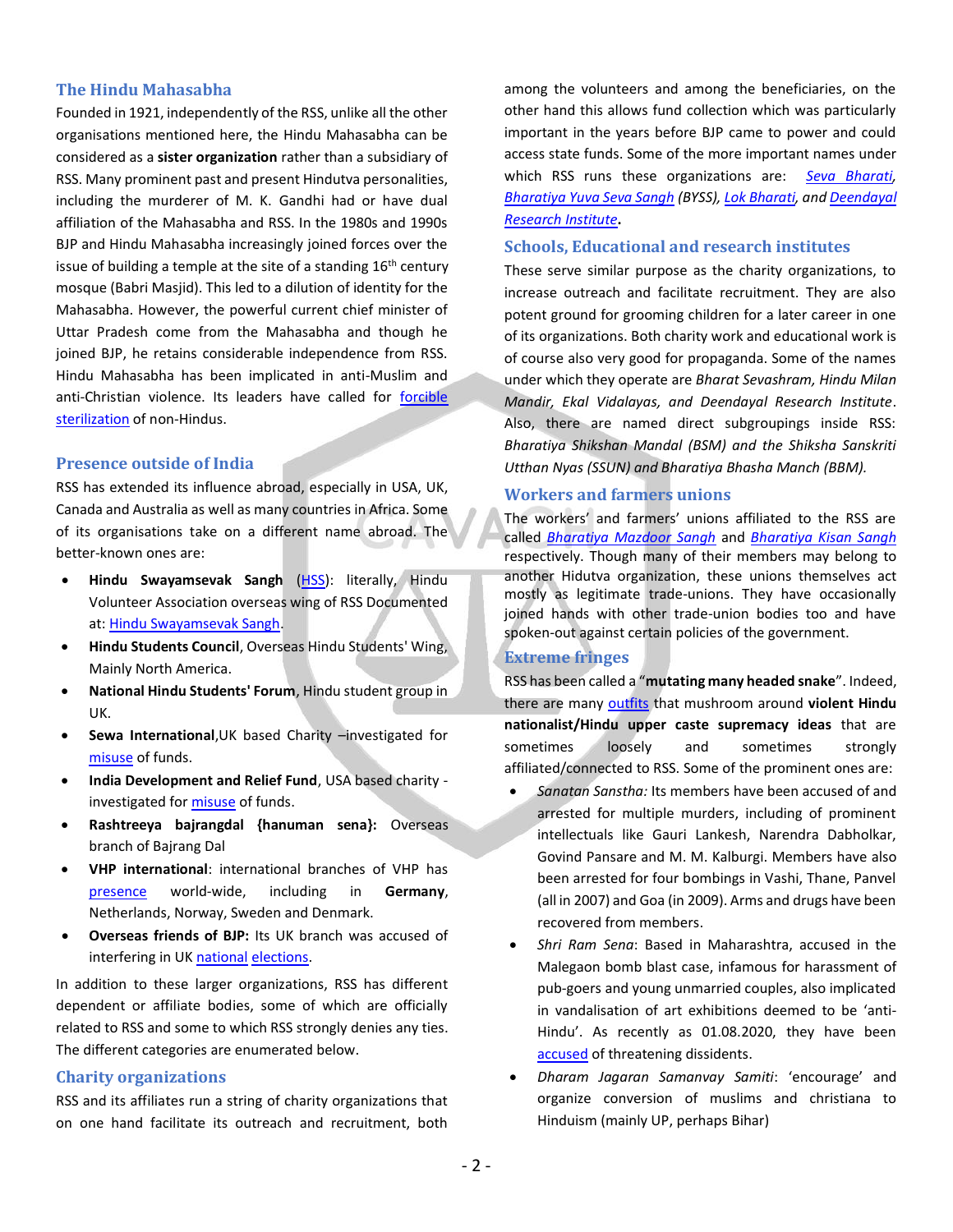#### **The Hindu Mahasabha**

Founded in 1921, independently of the RSS, unlike all the other organisations mentioned here, the Hindu Mahasabha can be considered as a **sister organization** rather than a subsidiary of RSS. Many prominent past and present Hindutva personalities, including the murderer of M. K. Gandhi had or have dual affiliation of the Mahasabha and RSS. In the 1980s and 1990s BJP and Hindu Mahasabha increasingly joined forces over the issue of building a temple at the site of a standing  $16<sup>th</sup>$  century mosque (Babri Masjid). This led to a dilution of identity for the Mahasabha. However, the powerful current chief minister of Uttar Pradesh come from the Mahasabha and though he joined BJP, he retains considerable independence from RSS. Hindu Mahasabha has been implicated in anti-Muslim and anti-Christian violence. Its leaders have called for [forcible](https://www.deccanchronicle.com/150412/nation-current-affairs/article/muslims-christians-should-be-forcibly-sterilised-says-hindu)  [sterilization](https://www.deccanchronicle.com/150412/nation-current-affairs/article/muslims-christians-should-be-forcibly-sterilised-says-hindu) of non-Hindus.

#### **Presence outside of India**

RSS has extended its influence abroad, especially in USA, UK, Canada and Australia as well as many countries in Africa. Some of its organisations take on a different name abroad. The better-known ones are:

- **Hindu Swayamsevak Sangh** [\(HSS\)](https://en.wikipedia.org/wiki/Hindu_Swayamsevak_Sangh): literally, Hindu Volunteer Association overseas wing of RSS Documented at: [Hindu Swayamsevak Sangh.](https://cavach.org/wp-content/uploads/2020/07/03_HinduSwayamsevakSangh.pdf)
- **[Hindu Students Council](https://en.wikipedia.org/wiki/Hindu_Students_Council)**, Overseas Hindu Students' Wing, Mainly North America.
- **[National Hindu Students' Forum](https://en.wikipedia.org/wiki/National_Hindu_Students%27_Forum)**, Hindu student group in UK.
- **Sewa International**,UK based Charity –investigated for [misuse](http://www.sacw.net/DC/CommunalismCollection/ArticlesArchive/British_charity_and_Hindu_extremism_a_report_summary.pdf) of funds.
- **[India Development and Relief Fund](https://en.wikipedia.org/wiki/India_Development_and_Relief_Fund)**, USA based charity investigated for [misuse](https://frontline.thehindu.com/the-nation/article30246995.ece) of funds.
- **Rashtreeya bajrangdal {hanuman sena}:** Overseas branch of Bajrang Dal
- **VHP international**: international branches of VHP has [presence](https://vhp.org/vhp-at-glance/hindus-abroad/) world-wide, including in **Germany**, Netherlands, Norway, Sweden and Denmark.
- **Overseas friends of BJP:** Its UK branch was accused of interfering in UK [national](https://www.nationalheraldindia.com/international/overseas-friends-of-bjp-no-friend-of-india) [elections.](https://www.theguardian.com/commentisfree/2019/nov/14/friends-of-bjp-indian-voters-tories)

In addition to these larger organizations, RSS has different dependent or affiliate bodies, some of which are officially related to RSS and some to which RSS strongly denies any ties. The different categories are enumerated below.

#### **Charity organizations**

RSS and its affiliates run a string of charity organizations that on one hand facilitate its outreach and recruitment, both among the volunteers and among the beneficiaries, on the other hand this allows fund collection which was particularly important in the years before BJP came to power and could access state funds. Some of the more important names under which RSS runs these organizations are: *[Seva Bharati,](https://en.wikipedia.org/wiki/Seva_Bharati) [Bharatiya Yuva Seva Sangh](https://byuvasevasangh.blogspot.com/) (BYSS)[, Lok Bharati,](https://www.lokbharti.org/Aboutus) an[d Deendayal](http://chitrakoot.org/driindia/home.html)  [Research Institute](http://chitrakoot.org/driindia/home.html)***.**

# **Schools, Educational and research institutes**

These serve similar purpose as the charity organizations, to increase outreach and facilitate recruitment. They are also potent ground for grooming children for a later career in one of its organizations. Both charity work and educational work is of course also very good for propaganda. Some of the names under which they operate are *Bharat Sevashram, Hindu Milan Mandir, Ekal Vidalayas, and Deendayal Research Institute*. Also, there are named direct subgroupings inside RSS: *Bharatiya Shikshan Mandal (BSM) and the Shiksha Sanskriti Utthan Nyas (SSUN) and Bharatiya Bhasha Manch (BBM).*

#### **Workers and farmers unions**

The workers' and farmers' unions affiliated to the RSS are called *[Bharatiya Mazdoor Sangh](https://en.wikipedia.org/wiki/Bharatiya_Mazdoor_Sangh)* and *[Bharatiya Kisan Sangh](https://en.wikipedia.org/wiki/Bharatiya_Kisan_Sangh)* respectively. Though many of their members may belong to another Hidutva organization, these unions themselves act mostly as legitimate trade-unions. They have occasionally joined hands with other trade-union bodies too and have spoken-out against certain policies of the government.

#### **Extreme fringes**

RSS has been called a "**mutating many headed snake**". Indeed, there are many [outfits](https://timesofindia.indiatimes.com/india/Ten-most-aggressive-fringe-elements-of-the-Parivar/articleshow/47425807.cms) that mushroom around **violent Hindu nationalist/Hindu upper caste supremacy ideas** that are sometimes loosely and sometimes strongly affiliated/connected to RSS. Some of the prominent ones are:

- *Sanatan Sanstha:* Its members have been accused of and arrested for multiple murders, including of prominent intellectuals like Gauri Lankesh, Narendra Dabholkar, Govind Pansare and M. M. Kalburgi. Members have also been arrested for four bombings in Vashi, Thane, Panvel (all in 2007) and Goa (in 2009). Arms and drugs have been recovered from members.
- *Shri Ram Sena*: Based in Maharashtra, accused in the Malegaon bomb blast case, infamous for harassment of pub-goers and young unmarried couples, also implicated in vandalisation of art exhibitions deemed to be 'anti-Hindu'. As recently as 01.08.2020, they have been [accused](https://twitter.com/SaketGokhale/status/1289469966383628288) of threatening dissidents.
- *Dharam Jagaran Samanvay Samiti*: 'encourage' and organize conversion of muslims and christiana to Hinduism (mainly UP, perhaps Bihar)